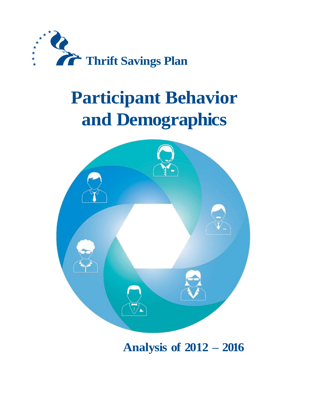

# **Participant Behavior and Demographics**



**Analysis of 2012 – 2016**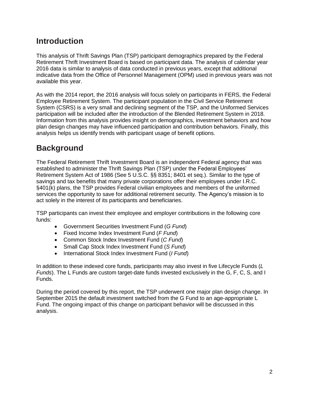## **Introduction**

This analysis of Thrift Savings Plan (TSP) participant demographics prepared by the Federal Retirement Thrift Investment Board is based on participant data. The analysis of calendar year 2016 data is similar to analysis of data conducted in previous years, except that additional indicative data from the Office of Personnel Management (OPM) used in previous years was not available this year.

As with the 2014 report, the 2016 analysis will focus solely on participants in FERS, the Federal Employee Retirement System. The participant population in the Civil Service Retirement System (CSRS) is a very small and declining segment of the TSP, and the Uniformed Services participation will be included after the introduction of the Blended Retirement System in 2018. Information from this analysis provides insight on demographics, investment behaviors and how plan design changes may have influenced participation and contribution behaviors. Finally, this analysis helps us identify trends with participant usage of benefit options.

# **Background**

The Federal Retirement Thrift Investment Board is an independent Federal agency that was established to administer the Thrift Savings Plan (TSP) under the Federal Employees' Retirement System Act of 1986 (See 5 U.S.C. §§ 8351; 8401 et seq.). Similar to the type of savings and tax benefits that many private corporations offer their employees under I.R.C. §401(k) plans, the TSP provides Federal civilian employees and members of the uniformed services the opportunity to save for additional retirement security. The Agency's mission is to act solely in the interest of its participants and beneficiaries.

TSP participants can invest their employee and employer contributions in the following core funds:

- Government Securities Investment Fund (*G Fund*)
- Fixed Income Index Investment Fund (*F Fund*)
- Common Stock Index Investment Fund (*C Fund*)
- Small Cap Stock Index Investment Fund (*S Fund*)
- International Stock Index Investment Fund (*I Fund*)

In addition to these indexed core funds, participants may also invest in five Lifecycle Funds (*L Funds*). The L Funds are custom target-date funds invested exclusively in the G, F, C, S, and I Funds.

During the period covered by this report, the TSP underwent one major plan design change. In September 2015 the default investment switched from the G Fund to an age-appropriate L Fund. The ongoing impact of this change on participant behavior will be discussed in this analysis.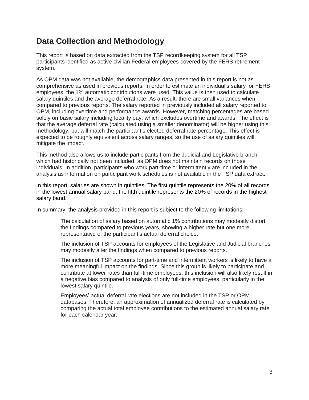## **Data Collection and Methodology**

This report is based on data extracted from the TSP recordkeeping system for all TSP participants identified as active civilian Federal employees covered by the FERS retirement system.

As OPM data was not available, the demographics data presented in this report is not as comprehensive as used in previous reports. In order to estimate an individual's salary for FERS employees, the 1% automatic contributions were used. This value is then used to calculate salary quintiles and the average deferral rate. As a result, there are small variances when compared to previous reports. The salary reported in previously included all salary reported to OPM, including overtime and performance awards. However, matching percentages are based solely on basic salary including locality pay, which excludes overtime and awards. The effect is that the average deferral rate (calculated using a smaller denominator) will be higher using this methodology, but will match the participant's elected deferral rate percentage. This effect is expected to be roughly equivalent across salary ranges, so the use of salary quintiles will mitigate the impact.

This method also allows us to include participants from the Judicial and Legislative branch which had historically not been included, as OPM does not maintain records on those individuals. In addition, participants who work part-time or intermittently are included in the analysis as information on participant work schedules is not available in the TSP data extract.

In this report, salaries are shown in quintiles. The first quintile represents the 20% of all records in the lowest annual salary band; the fifth quintile represents the 20% of records in the highest salary band.

In summary, the analysis provided in this report is subject to the following limitations:

The calculation of salary based on automatic 1% contributions may modestly distort the findings compared to previous years, showing a higher rate but one more representative of the participant's actual deferral choice.

The inclusion of TSP accounts for employees of the Legislative and Judicial branches may modestly alter the findings when compared to previous reports.

The inclusion of TSP accounts for part-time and intermittent workers is likely to have a more meaningful impact on the findings. Since this group is likely to participate and contribute at lower rates than full-time employees, this inclusion will also likely result in a negative bias compared to analysis of only full-time employees, particularly in the lowest salary quintile.

Employees' actual deferral rate elections are not included in the TSP or OPM databases. Therefore, an approximation of annualized deferral rate is calculated by comparing the actual total employee contributions to the estimated annual salary rate for each calendar year.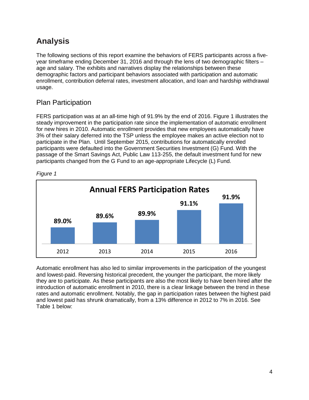# **Analysis**

The following sections of this report examine the behaviors of FERS participants across a fiveyear timeframe ending December 31, 2016 and through the lens of two demographic filters – age and salary. The exhibits and narratives display the relationships between these demographic factors and participant behaviors associated with participation and automatic enrollment, contribution deferral rates, investment allocation, and loan and hardship withdrawal usage.

## Plan Participation

FERS participation was at an all-time high of 91.9% by the end of 2016. Figure 1 illustrates the steady improvement in the participation rate since the implementation of automatic enrollment for new hires in 2010. Automatic enrollment provides that new employees automatically have 3% of their salary deferred into the TSP unless the employee makes an active election not to participate in the Plan. Until September 2015, contributions for automatically enrolled participants were defaulted into the Government Securities Investment (G) Fund. With the passage of the Smart Savings Act, Public Law 113-255, the default investment fund for new participants changed from the G Fund to an age-appropriate Lifecycle (L) Fund.



*Figure 1*

Automatic enrollment has also led to similar improvements in the participation of the youngest and lowest-paid. Reversing historical precedent, the younger the participant, the more likely they are to participate. As these participants are also the most likely to have been hired after the introduction of automatic enrollment in 2010, there is a clear linkage between the trend in these rates and automatic enrollment. Notably, the gap in participation rates between the highest paid and lowest paid has shrunk dramatically, from a 13% difference in 2012 to 7% in 2016. See Table 1 below: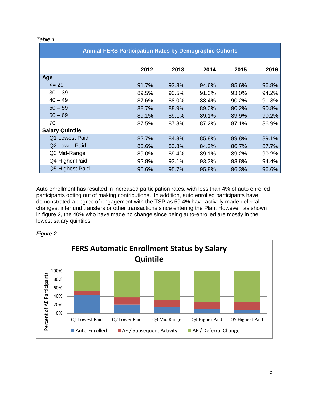#### *Table 1*

| <b>Annual FERS Participation Rates by Demographic Cohorts</b> |       |       |       |       |       |  |
|---------------------------------------------------------------|-------|-------|-------|-------|-------|--|
|                                                               | 2012  | 2013  | 2014  | 2015  | 2016  |  |
| Age                                                           |       |       |       |       |       |  |
| $\leq$ 29                                                     | 91.7% | 93.3% | 94.6% | 95.6% | 96.8% |  |
| $30 - 39$                                                     | 89.5% | 90.5% | 91.3% | 93.0% | 94.2% |  |
| $40 - 49$                                                     | 87.6% | 88.0% | 88.4% | 90.2% | 91.3% |  |
| $50 - 59$                                                     | 88.7% | 88.9% | 89.0% | 90.2% | 90.8% |  |
| $60 - 69$                                                     | 89.1% | 89.1% | 89.1% | 89.9% | 90.2% |  |
| $70+$                                                         | 87.5% | 87.8% | 87.2% | 87.1% | 86.9% |  |
| <b>Salary Quintile</b>                                        |       |       |       |       |       |  |
| Q1 Lowest Paid                                                | 82.7% | 84.3% | 85.8% | 89.8% | 89.1% |  |
| Q2 Lower Paid                                                 | 83.6% | 83.8% | 84.2% | 86.7% | 87.7% |  |
| Q3 Mid-Range                                                  | 89.0% | 89.4% | 89.1% | 89.2% | 90.2% |  |
| Q4 Higher Paid                                                | 92.8% | 93.1% | 93.3% | 93.8% | 94.4% |  |
| Q5 Highest Paid                                               | 95.6% | 95.7% | 95.8% | 96.3% | 96.6% |  |

Auto enrollment has resulted in increased participation rates, with less than 4% of auto enrolled participants opting out of making contributions. In addition, auto enrolled participants have demonstrated a degree of engagement with the TSP as 59.4% have actively made deferral changes, interfund transfers or other transactions since entering the Plan. However, as shown in figure 2, the 40% who have made no change since being auto-enrolled are mostly in the lowest salary quintiles.



*Figure 2*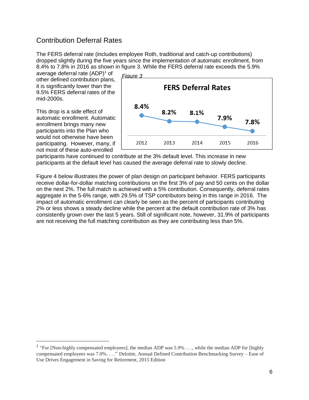## Contribution Deferral Rates

The FERS deferral rate (includes employee Roth, traditional and catch-up contributions) dropped slightly during the five years since the implementation of automatic enrollment, from 8.4% to 7.8% in 2016 as shown in figure 3. While the FERS deferral rate exceeds the 5.9%

average deferral rate  $(ADP)^1$  of other defined contribution plans, it is significantly lower than the 9.5% FERS deferral rates of the mid-2000s.

This drop is a side effect of automatic enrollment. Automatic enrollment brings many new participants into the Plan who would not otherwise have been participating. However, many, if not most of these auto-enrolled

 $\overline{a}$ 



participants have continued to contribute at the 3% default level. This increase in new participants at the default level has caused the average deferral rate to slowly decline.

Figure 4 below illustrates the power of plan design on participant behavior. FERS participants receive dollar-for-dollar matching contributions on the first 3% of pay and 50 cents on the dollar on the next 2%. The full match is achieved with a 5% contribution. Consequently, deferral rates aggregate in the 5-6% range, with 29.5% of TSP contributors being in this range in 2016. The impact of automatic enrollment can clearly be seen as the percent of participants contributing 2% or less shows a steady decline while the percent at the default contribution rate of 3% has consistently grown over the last 5 years. Still of significant note, however, 31.9% of participants are not receiving the full matching contribution as they are contributing less than 5%.

<sup>&</sup>lt;sup>1</sup> "For [Non-highly compensated employees], the median ADP was  $5.9\%$  . . ., while the median ADP for [highly compensated employees was 7.0%. . . ." Deloitte, Annual Defined Contribution Benchmarking Survey – Ease of Use Drives Engagement in Saving for Retirement, 2015 Edition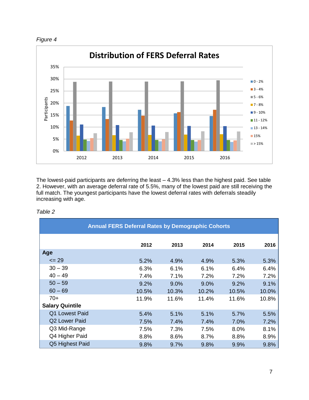



The lowest-paid participants are deferring the least – 4.3% less than the highest paid. See table 2. However, with an average deferral rate of 5.5%, many of the lowest paid are still receiving the full match. The youngest participants have the lowest deferral rates with deferrals steadily increasing with age.

| <b>Annual FERS Deferral Rates by Demographic Cohorts</b> |       |       |       |       |       |  |
|----------------------------------------------------------|-------|-------|-------|-------|-------|--|
|                                                          | 2012  | 2013  | 2014  | 2015  | 2016  |  |
| Age                                                      |       |       |       |       |       |  |
| $\leq$ 29                                                | 5.2%  | 4.9%  | 4.9%  | 5.3%  | 5.3%  |  |
| $30 - 39$                                                | 6.3%  | 6.1%  | 6.1%  | 6.4%  | 6.4%  |  |
| $40 - 49$                                                | 7.4%  | 7.1%  | 7.2%  | 7.2%  | 7.2%  |  |
| $50 - 59$                                                | 9.2%  | 9.0%  | 9.0%  | 9.2%  | 9.1%  |  |
| $60 - 69$                                                | 10.5% | 10.3% | 10.2% | 10.5% | 10.0% |  |
| $70+$                                                    | 11.9% | 11.6% | 11.4% | 11.6% | 10.8% |  |
| <b>Salary Quintile</b>                                   |       |       |       |       |       |  |
| Q1 Lowest Paid                                           | 5.4%  | 5.1%  | 5.1%  | 5.7%  | 5.5%  |  |
| Q2 Lower Paid                                            | 7.5%  | 7.4%  | 7.4%  | 7.0%  | 7.2%  |  |
| Q3 Mid-Range                                             | 7.5%  | 7.3%  | 7.5%  | 8.0%  | 8.1%  |  |
| Q4 Higher Paid                                           | 8.8%  | 8.6%  | 8.7%  | 8.8%  | 8.9%  |  |
| Q5 Highest Paid                                          | 9.8%  | 9.7%  | 9.8%  | 9.9%  | 9.8%  |  |

#### *Table 2*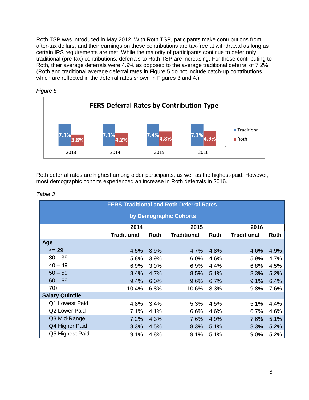Roth TSP was introduced in May 2012. With Roth TSP, paticipants make contributions from after-tax dollars, and their earnings on these contributions are tax-free at withdrawal as long as certain IRS requirements are met. While the majority of participants continue to defer only traditional (pre-tax) contributions, deferrals to Roth TSP are increasing. For those contributing to Roth, their average deferrals were 4.9% as opposed to the average traditional deferral of 7.2%. (Roth and traditional average deferral rates in Figure 5 do not include catch-up contributions which are reflected in the deferral rates shown in Figures 3 and 4.)





Roth deferral rates are highest among older participants, as well as the highest-paid. However, most demographic cohorts experienced an increase in Roth deferrals in 2016.

| <b>FERS Traditional and Roth Deferral Rates</b> |                    |      |                    |      |                    |      |  |
|-------------------------------------------------|--------------------|------|--------------------|------|--------------------|------|--|
| by Demographic Cohorts                          |                    |      |                    |      |                    |      |  |
|                                                 | 2014               |      | 2015               |      | 2016               |      |  |
|                                                 | <b>Traditional</b> | Roth | <b>Traditional</b> | Roth | <b>Traditional</b> | Roth |  |
| Age                                             |                    |      |                    |      |                    |      |  |
| $= 29$                                          | 4.5%               | 3.9% | 4.7%               | 4.8% | 4.6%               | 4.9% |  |
| $30 - 39$                                       | 5.8%               | 3.9% | 6.0%               | 4.6% | 5.9%               | 4.7% |  |
| $40 - 49$                                       | 6.9%               | 3.9% | 6.9%               | 4.4% | 6.8%               | 4.5% |  |
| $50 - 59$                                       | 8.4%               | 4.7% | 8.5%               | 5.1% | 8.3%               | 5.2% |  |
| $60 - 69$                                       | 9.4%               | 6.0% | 9.6%               | 6.7% | 9.1%               | 6.4% |  |
| $70+$                                           | 10.4%              | 6.8% | 10.6%              | 8.3% | 9.8%               | 7.6% |  |
| <b>Salary Quintile</b>                          |                    |      |                    |      |                    |      |  |
| Q1 Lowest Paid                                  | 4.8%               | 3.4% | 5.3%               | 4.5% | 5.1%               | 4.4% |  |
| Q2 Lower Paid                                   | 7.1%               | 4.1% | 6.6%               | 4.6% | 6.7%               | 4.6% |  |
| Q3 Mid-Range                                    | 7.2%               | 4.3% | 7.6%               | 4.9% | 7.6%               | 5.1% |  |
| Q4 Higher Paid                                  | 8.3%               | 4.5% | 8.3%               | 5.1% | 8.3%               | 5.2% |  |
| Q5 Highest Paid                                 | 9.1%               | 4.8% | 9.1%               | 5.1% | $9.0\%$            | 5.2% |  |

*Table 3*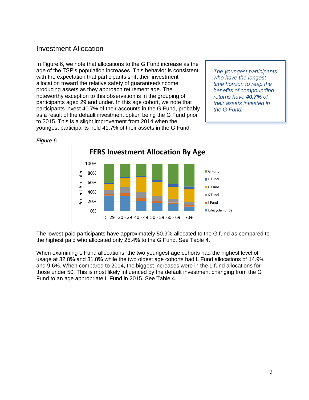#### Investment Allocation

In Figure 6, we note that allocations to the G Fund increase as the age of the TSP's population increases. This behavior is consistent with the expectation that participants shift their investment allocation toward the relative safety of guaranteed/income producing assets as they approach retirement age. The noteworthy exception to this observation is in the grouping of participants aged 29 and under. In this age cohort, we note that participants invest 40.7% of their accounts in the G Fund, probably as a result of the default investment option being the G Fund prior to 2015. This is a slight improvement from 2014 when the youngest participants held 41.7% of their assets in the G Fund.

*The youngest participants who have the longest time horizon to reap the benefits of compounding returns have 40.7% of their assets invested in the G Fund.*



The lowest-paid participants have approximately 50.9% allocated to the G fund as compared to the highest paid who allocated only 25.4% to the G Fund. See Table 4.

When examining L Fund allocations, the two youngest age cohorts had the highest level of usage at 32.8% and 31.8% while the two oldest age cohorts had L Fund allocations of 14.9% and 9.6%. When compared to 2014, the biggest increases were in the L fund allocations for those under 50. This is most likely influenced by the default investment changing from the G Fund to an age appropriate L Fund in 2015. See Table 4.

*Figure 6*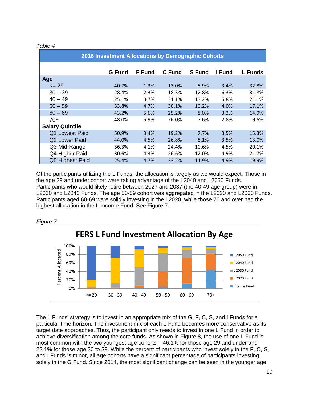|  |  | able |  |
|--|--|------|--|
|--|--|------|--|

| 2016 Investment Allocations by Demographic Cohorts |               |               |               |               |        |                |
|----------------------------------------------------|---------------|---------------|---------------|---------------|--------|----------------|
|                                                    | <b>G</b> Fund | <b>F</b> Fund | <b>C</b> Fund | <b>S</b> Fund | I Fund | <b>L</b> Funds |
| Age                                                |               |               |               |               |        |                |
| $\leq$ 29                                          | 40.7%         | 1.3%          | 13.0%         | 8.9%          | 3.4%   | 32.8%          |
| $30 - 39$                                          | 28.4%         | 2.3%          | 18.3%         | 12.8%         | 6.3%   | 31.8%          |
| $40 - 49$                                          | 25.1%         | 3.7%          | 31.1%         | 13.2%         | 5.8%   | 21.1%          |
| $50 - 59$                                          | 33.8%         | 4.7%          | 30.1%         | 10.2%         | 4.0%   | 17.1%          |
| $60 - 69$                                          | 43.2%         | 5.6%          | 25.2%         | 8.0%          | 3.2%   | 14.9%          |
| $70+$                                              | 48.0%         | 5.9%          | 26.0%         | 7.6%          | 2.8%   | 9.6%           |
| <b>Salary Quintile</b>                             |               |               |               |               |        |                |
| Q1 Lowest Paid                                     | 50.9%         | 3.4%          | 19.2%         | 7.7%          | 3.5%   | 15.3%          |
| <b>Q2 Lower Paid</b>                               | 44.0%         | 4.5%          | 26.8%         | 8.1%          | 3.5%   | 13.0%          |
| Q3 Mid-Range                                       | 36.3%         | 4.1%          | 24.4%         | 10.6%         | 4.5%   | 20.1%          |
| Q4 Higher Paid                                     | 30.6%         | 4.3%          | 26.6%         | 12.0%         | 4.9%   | 21.7%          |
| Q5 Highest Paid                                    | 25.4%         | 4.7%          | 33.2%         | 11.9%         | 4.9%   | 19.9%          |

Of the participants utilizing the L Funds, the allocation is largely as we would expect. Those in the age 29 and under cohort were taking advantage of the L2040 and L2050 Funds. Participants who would likely retire between 2027 and 2037 (the 40-49 age group) were in L2030 and L2040 Funds. The age 50-59 cohort was aggregated in the L2020 and L2030 Funds. Participants aged 60-69 were solidly investing in the L2020, while those 70 and over had the highest allocation in the L Income Fund. See Figure 7.



The L Funds' strategy is to invest in an appropriate mix of the G, F, C, S, and I Funds for a particular time horizon. The investment mix of each L Fund becomes more conservative as its target date approaches. Thus, the participant only needs to invest in one L Fund in order to achieve diversification among the core funds. As shown in Figure 8, the use of one L Fund is most common with the two youngest age cohorts – 46.1% for those age 29 and under and 22.1% for those age 30 to 39. While the percent of participants who invest solely in the F, C, S, and I Funds is minor, all age cohorts have a significant percentage of participants investing solely in the G Fund. Since 2014, the most significant change can be seen in the younger age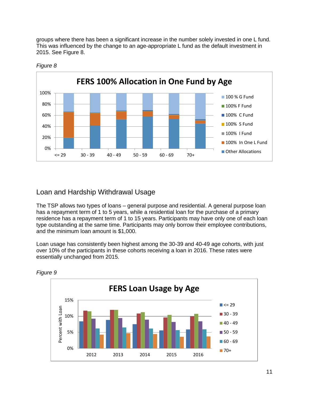groups where there has been a significant increase in the number solely invested in one L fund. This was influenced by the change to an age-appropriate L fund as the default investment in 2015. See Figure 8.



#### *Figure 8*

### Loan and Hardship Withdrawal Usage

The TSP allows two types of loans – general purpose and residential. A general purpose loan has a repayment term of 1 to 5 years, while a residential loan for the purchase of a primary residence has a repayment term of 1 to 15 years. Participants may have only one of each loan type outstanding at the same time. Participants may only borrow their employee contributions, and the minimum loan amount is \$1,000.

Loan usage has consistently been highest among the 30-39 and 40-49 age cohorts, with just over 10% of the participants in these cohorts receiving a loan in 2016. These rates were essentially unchanged from 2015.



*Figure 9*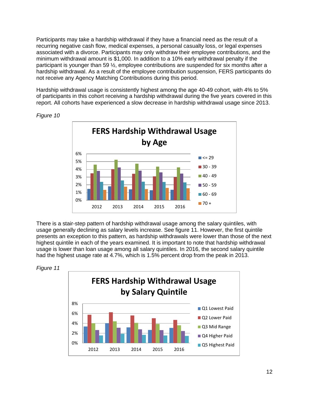Participants may take a hardship withdrawal if they have a financial need as the result of a recurring negative cash flow, medical expenses, a personal casualty loss, or legal expenses associated with a divorce. Participants may only withdraw their employee contributions, and the minimum withdrawal amount is \$1,000. In addition to a 10% early withdrawal penalty if the participant is younger than 59 ½, employee contributions are suspended for six months after a hardship withdrawal. As a result of the employee contribution suspension, FERS participants do not receive any Agency Matching Contributions during this period.

Hardship withdrawal usage is consistently highest among the age 40-49 cohort, with 4% to 5% of participants in this cohort receiving a hardship withdrawal during the five years covered in this report. All cohorts have experienced a slow decrease in hardship withdrawal usage since 2013.



*Figure 10*

There is a stair-step pattern of hardship withdrawal usage among the salary quintiles, with usage generally declining as salary levels increase. See figure 11. However, the first quintile presents an exception to this pattern, as hardship withdrawals were lower than those of the next highest quintile in each of the years examined. It is important to note that hardship withdrawal usage is lower than loan usage among all salary quintiles. In 2016, the second salary quintile had the highest usage rate at 4.7%, which is 1.5% percent drop from the peak in 2013.